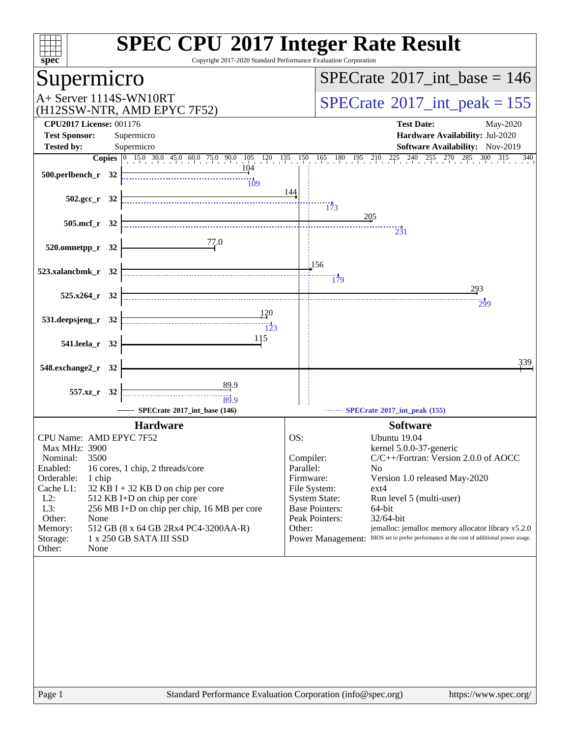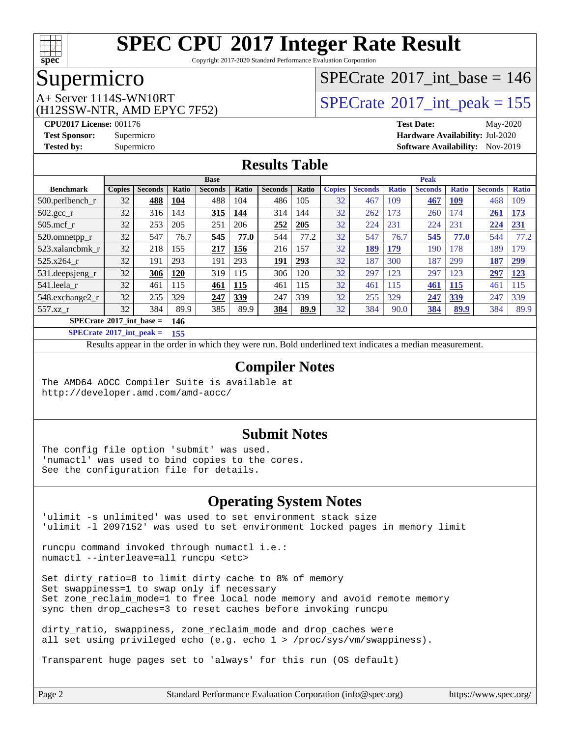

Copyright 2017-2020 Standard Performance Evaluation Corporation

#### Supermicro

(H12SSW-NTR, AMD EPYC 7F52)

### $SPECTate$ <sup>®</sup>[2017\\_int\\_base =](http://www.spec.org/auto/cpu2017/Docs/result-fields.html#SPECrate2017intbase) 146

### $A+$  Server 1114S-WN10RT  $\begin{array}{c} \text{SPECrate} \text{\textdegree}2017\_int\_peak = 155 \\ \text{SPECrate} \text{\textdegree}2017\_int\_peak = 155 \end{array}$  $\begin{array}{c} \text{SPECrate} \text{\textdegree}2017\_int\_peak = 155 \\ \text{SPECrate} \text{\textdegree}2017\_int\_peak = 155 \end{array}$  $\begin{array}{c} \text{SPECrate} \text{\textdegree}2017\_int\_peak = 155 \\ \text{SPECrate} \text{\textdegree}2017\_int\_peak = 155 \end{array}$

**[CPU2017 License:](http://www.spec.org/auto/cpu2017/Docs/result-fields.html#CPU2017License)** 001176 **[Test Date:](http://www.spec.org/auto/cpu2017/Docs/result-fields.html#TestDate)** May-2020 **[Test Sponsor:](http://www.spec.org/auto/cpu2017/Docs/result-fields.html#TestSponsor)** Supermicro **[Hardware Availability:](http://www.spec.org/auto/cpu2017/Docs/result-fields.html#HardwareAvailability)** Jul-2020 **[Tested by:](http://www.spec.org/auto/cpu2017/Docs/result-fields.html#Testedby)** Supermicro **[Software Availability:](http://www.spec.org/auto/cpu2017/Docs/result-fields.html#SoftwareAvailability)** Nov-2019

#### **[Results Table](http://www.spec.org/auto/cpu2017/Docs/result-fields.html#ResultsTable)**

|                                          | <b>Base</b>   |                |       |                |              | <b>Peak</b>    |       |               |                |              |                |              |                |              |
|------------------------------------------|---------------|----------------|-------|----------------|--------------|----------------|-------|---------------|----------------|--------------|----------------|--------------|----------------|--------------|
| <b>Benchmark</b>                         | <b>Copies</b> | <b>Seconds</b> | Ratio | <b>Seconds</b> | <b>Ratio</b> | <b>Seconds</b> | Ratio | <b>Copies</b> | <b>Seconds</b> | <b>Ratio</b> | <b>Seconds</b> | <b>Ratio</b> | <b>Seconds</b> | <b>Ratio</b> |
| $500$ .perlbench r                       | 32            | 488            | 104   | 488            | 104          | 486            | 105   | 32            | 467            | 109          | 467            | 109          | 468            | 109          |
| $502.\text{gcc}$ r                       | 32            | 316            | 143   | 315            | 144          | 314            | 144   | 32            | 262            | 173          | 260            | 74           | 261            | <b>173</b>   |
| $505$ .mcf r                             | 32            | 253            | 205   | 251            | 206          | 252            | 205   | 32            | 224            | 231          | 224            | 231          | 224            | 231          |
| 520.omnetpp_r                            | 32            | 547            | 76.7  | 545            | 77.0         | 544            | 77.2  | 32            | 547            | 76.7         | 545            | 77.0         | 544            | 77.2         |
| 523.xalancbmk r                          | 32            | 218            | 155   | 217            | 156          | 216            | 157   | 32            | 189            | 179          | 190            | 178          | 189            | .79          |
| 525.x264 r                               | 32            | 191            | 293   | 191            | 293          | 191            | 293   | 32            | 187            | 300          | 187            | 299          | 187            | 299          |
| 531.deepsjeng_r                          | 32            | 306            | 120   | 319            | 115          | 306            | 120   | 32            | 297            | 123          | 297            | 123          | 297            | 123          |
| 541.leela r                              | 32            | 461            | 115   | 461            | 115          | 461            | 115   | 32            | 461            | 115          | 461            | 115          | 461            | 115          |
| 548.exchange2 r                          | 32            | 255            | 329   | 247            | 339          | 247            | 339   | 32            | 255            | 329          | 247            | <b>339</b>   | 247            | 339          |
| $557.xz$ r                               | 32            | 384            | 89.9  | 385            | 89.9         | 384            | 89.9  | 32            | 384            | 90.0         | 384            | 89.9         | 384            | 89.9         |
| $SPECrate^{\circ}2017$ int base =<br>146 |               |                |       |                |              |                |       |               |                |              |                |              |                |              |

**[SPECrate](http://www.spec.org/auto/cpu2017/Docs/result-fields.html#SPECrate2017intpeak)[2017\\_int\\_peak =](http://www.spec.org/auto/cpu2017/Docs/result-fields.html#SPECrate2017intpeak) 155**

Results appear in the [order in which they were run.](http://www.spec.org/auto/cpu2017/Docs/result-fields.html#RunOrder) Bold underlined text [indicates a median measurement.](http://www.spec.org/auto/cpu2017/Docs/result-fields.html#Median)

#### **[Compiler Notes](http://www.spec.org/auto/cpu2017/Docs/result-fields.html#CompilerNotes)**

The AMD64 AOCC Compiler Suite is available at <http://developer.amd.com/amd-aocc/>

#### **[Submit Notes](http://www.spec.org/auto/cpu2017/Docs/result-fields.html#SubmitNotes)**

The config file option 'submit' was used. 'numactl' was used to bind copies to the cores. See the configuration file for details.

#### **[Operating System Notes](http://www.spec.org/auto/cpu2017/Docs/result-fields.html#OperatingSystemNotes)**

'ulimit -s unlimited' was used to set environment stack size 'ulimit -l 2097152' was used to set environment locked pages in memory limit

runcpu command invoked through numactl i.e.: numactl --interleave=all runcpu <etc>

Set dirty\_ratio=8 to limit dirty cache to 8% of memory Set swappiness=1 to swap only if necessary Set zone\_reclaim\_mode=1 to free local node memory and avoid remote memory sync then drop\_caches=3 to reset caches before invoking runcpu

dirty\_ratio, swappiness, zone\_reclaim\_mode and drop\_caches were all set using privileged echo (e.g. echo 1 > /proc/sys/vm/swappiness).

Transparent huge pages set to 'always' for this run (OS default)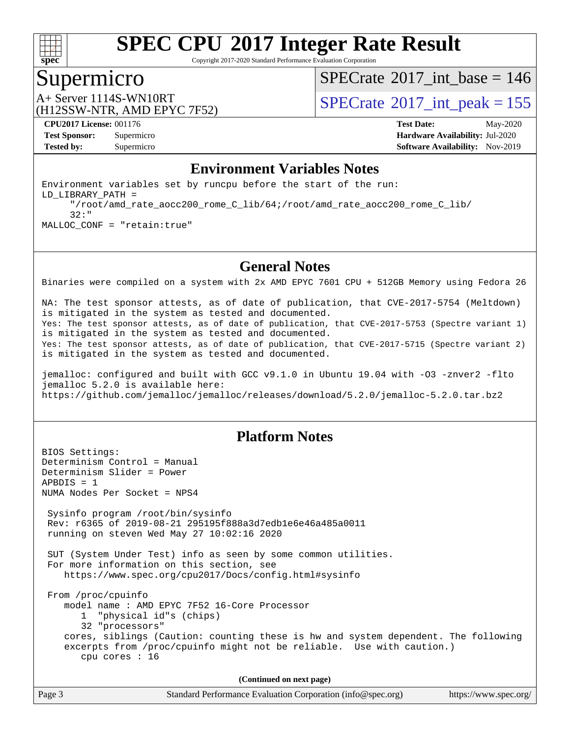

Copyright 2017-2020 Standard Performance Evaluation Corporation

#### Supermicro

 $SPECrate$ <sup>®</sup>[2017\\_int\\_base =](http://www.spec.org/auto/cpu2017/Docs/result-fields.html#SPECrate2017intbase) 146

(H12SSW-NTR, AMD EPYC 7F52)

A+ Server 1114S-WN10RT<br>(H12SSW NTP AMD ERVC 7E52)

**[CPU2017 License:](http://www.spec.org/auto/cpu2017/Docs/result-fields.html#CPU2017License)** 001176 **[Test Date:](http://www.spec.org/auto/cpu2017/Docs/result-fields.html#TestDate)** May-2020 **[Test Sponsor:](http://www.spec.org/auto/cpu2017/Docs/result-fields.html#TestSponsor)** Supermicro **[Hardware Availability:](http://www.spec.org/auto/cpu2017/Docs/result-fields.html#HardwareAvailability)** Jul-2020 **[Tested by:](http://www.spec.org/auto/cpu2017/Docs/result-fields.html#Testedby)** Supermicro **[Software Availability:](http://www.spec.org/auto/cpu2017/Docs/result-fields.html#SoftwareAvailability)** Nov-2019

#### **[Environment Variables Notes](http://www.spec.org/auto/cpu2017/Docs/result-fields.html#EnvironmentVariablesNotes)**

Environment variables set by runcpu before the start of the run: LD\_LIBRARY\_PATH = "/root/amd\_rate\_aocc200\_rome\_C\_lib/64;/root/amd\_rate\_aocc200\_rome\_C\_lib/ 32:" MALLOC\_CONF = "retain:true"

#### **[General Notes](http://www.spec.org/auto/cpu2017/Docs/result-fields.html#GeneralNotes)**

Binaries were compiled on a system with 2x AMD EPYC 7601 CPU + 512GB Memory using Fedora 26

NA: The test sponsor attests, as of date of publication, that CVE-2017-5754 (Meltdown) is mitigated in the system as tested and documented. Yes: The test sponsor attests, as of date of publication, that CVE-2017-5753 (Spectre variant 1) is mitigated in the system as tested and documented. Yes: The test sponsor attests, as of date of publication, that CVE-2017-5715 (Spectre variant 2) is mitigated in the system as tested and documented.

jemalloc: configured and built with GCC v9.1.0 in Ubuntu 19.04 with -O3 -znver2 -flto jemalloc 5.2.0 is available here: <https://github.com/jemalloc/jemalloc/releases/download/5.2.0/jemalloc-5.2.0.tar.bz2>

#### **[Platform Notes](http://www.spec.org/auto/cpu2017/Docs/result-fields.html#PlatformNotes)**

BIOS Settings: Determinism Control = Manual Determinism Slider = Power  $APBDIS = 1$ NUMA Nodes Per Socket = NPS4 Sysinfo program /root/bin/sysinfo Rev: r6365 of 2019-08-21 295195f888a3d7edb1e6e46a485a0011 running on steven Wed May 27 10:02:16 2020 SUT (System Under Test) info as seen by some common utilities. For more information on this section, see <https://www.spec.org/cpu2017/Docs/config.html#sysinfo> From /proc/cpuinfo model name : AMD EPYC 7F52 16-Core Processor 1 "physical id"s (chips) 32 "processors" cores, siblings (Caution: counting these is hw and system dependent. The following excerpts from /proc/cpuinfo might not be reliable. Use with caution.) cpu cores : 16 **(Continued on next page)**

Page 3 Standard Performance Evaluation Corporation [\(info@spec.org\)](mailto:info@spec.org) <https://www.spec.org/>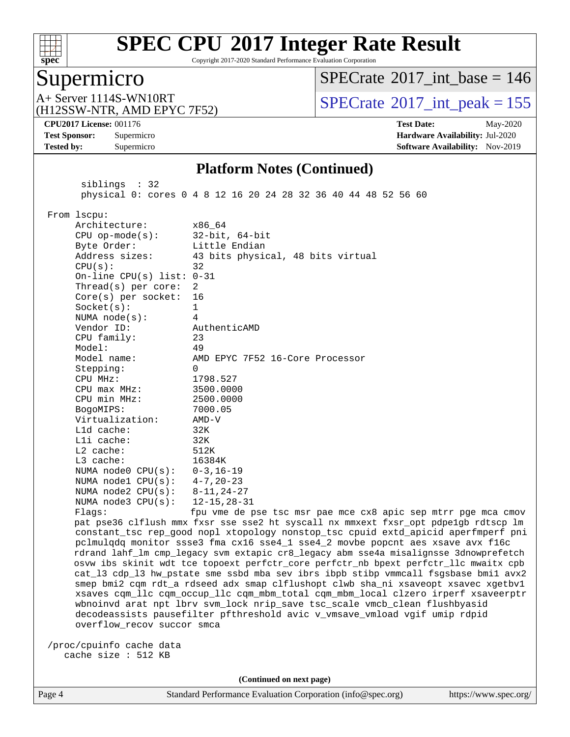

Copyright 2017-2020 Standard Performance Evaluation Corporation

### Supermicro

 $SPECrate$ <sup>®</sup>[2017\\_int\\_base =](http://www.spec.org/auto/cpu2017/Docs/result-fields.html#SPECrate2017intbase) 146

(H12SSW-NTR, AMD EPYC 7F52)

A+ Server 1114S-WN10RT<br>(H12SSW-NTR AMD EPYC 7F52) [SPECrate](http://www.spec.org/auto/cpu2017/Docs/result-fields.html#SPECrate2017intpeak)®[2017\\_int\\_peak = 1](http://www.spec.org/auto/cpu2017/Docs/result-fields.html#SPECrate2017intpeak)55

**[CPU2017 License:](http://www.spec.org/auto/cpu2017/Docs/result-fields.html#CPU2017License)** 001176 **[Test Date:](http://www.spec.org/auto/cpu2017/Docs/result-fields.html#TestDate)** May-2020 **[Test Sponsor:](http://www.spec.org/auto/cpu2017/Docs/result-fields.html#TestSponsor)** Supermicro **[Hardware Availability:](http://www.spec.org/auto/cpu2017/Docs/result-fields.html#HardwareAvailability)** Jul-2020 **[Tested by:](http://www.spec.org/auto/cpu2017/Docs/result-fields.html#Testedby)** Supermicro **[Software Availability:](http://www.spec.org/auto/cpu2017/Docs/result-fields.html#SoftwareAvailability)** Nov-2019

#### **[Platform Notes \(Continued\)](http://www.spec.org/auto/cpu2017/Docs/result-fields.html#PlatformNotes)**

| siblings : 32                                                                                                                                                                                                                                                                                                                                                                                                                                                                                                                                                                                                                | physical 0: cores 0 4 8 12 16 20 24 28 32 36 40 44 48 52 56 60                                                                                                                                                                                                                                                                                                                                                                                                                                                                                                                                                                                                                                                                                                                                                                                                                                                                                                                                                                                                                                                                                                                                                                                                                                                            |  |  |  |  |
|------------------------------------------------------------------------------------------------------------------------------------------------------------------------------------------------------------------------------------------------------------------------------------------------------------------------------------------------------------------------------------------------------------------------------------------------------------------------------------------------------------------------------------------------------------------------------------------------------------------------------|---------------------------------------------------------------------------------------------------------------------------------------------------------------------------------------------------------------------------------------------------------------------------------------------------------------------------------------------------------------------------------------------------------------------------------------------------------------------------------------------------------------------------------------------------------------------------------------------------------------------------------------------------------------------------------------------------------------------------------------------------------------------------------------------------------------------------------------------------------------------------------------------------------------------------------------------------------------------------------------------------------------------------------------------------------------------------------------------------------------------------------------------------------------------------------------------------------------------------------------------------------------------------------------------------------------------------|--|--|--|--|
| From 1scpu:<br>Architecture:<br>$CPU$ op-mode( $s$ ):<br>Byte Order:<br>Address sizes:<br>CPU(s):<br>On-line CPU(s) list: $0-31$<br>Thread( $s$ ) per core:<br>Core(s) per socket:<br>Socket(s):<br>NUMA $node(s):$<br>Vendor ID:<br>CPU family:<br>Model:<br>Model name:<br>Stepping:<br>CPU MHz:<br>$CPU$ max $MHz$ :<br>CPU min MHz:<br>BogoMIPS:<br>Virtualization:<br>L1d cache:<br>Lli cache:<br>L2 cache:<br>L3 cache:<br>NUMA node0 CPU(s):<br>NUMA $node1$ $CPU(s):$<br>NUMA $node2$ $CPU(s):$<br>NUMA $node3$ $CPU(s):$<br>Flagg:<br>overflow_recov succor smca<br>/proc/cpuinfo cache data<br>cache size : 512 KB | x86_64<br>$32$ -bit, $64$ -bit<br>Little Endian<br>43 bits physical, 48 bits virtual<br>32<br>2<br>16<br>$\mathbf{1}$<br>4<br>AuthenticAMD<br>23<br>49<br>AMD EPYC 7F52 16-Core Processor<br>$\Omega$<br>1798.527<br>3500.0000<br>2500.0000<br>7000.05<br>$AMD-V$<br>32K<br>32K<br>512K<br>16384K<br>$0 - 3$ , 16-19<br>4-7,20-23<br>$8 - 11, 24 - 27$<br>$12 - 15, 28 - 31$<br>fpu vme de pse tsc msr pae mce cx8 apic sep mtrr pge mca cmov<br>pat pse36 clflush mmx fxsr sse sse2 ht syscall nx mmxext fxsr_opt pdpelgb rdtscp lm<br>constant_tsc rep_good nopl xtopology nonstop_tsc cpuid extd_apicid aperfmperf pni<br>pclmulqdq monitor ssse3 fma cx16 sse4_1 sse4_2 movbe popcnt aes xsave avx f16c<br>rdrand lahf_lm cmp_legacy svm extapic cr8_legacy abm sse4a misalignsse 3dnowprefetch<br>osvw ibs skinit wdt tce topoext perfctr_core perfctr_nb bpext perfctr_llc mwaitx cpb<br>cat_13 cdp_13 hw_pstate sme ssbd mba sev ibrs ibpb stibp vmmcall fsgsbase bmil avx2<br>smep bmi2 cqm rdt_a rdseed adx smap clflushopt clwb sha_ni xsaveopt xsavec xgetbvl<br>xsaves cqm_llc cqm_occup_llc cqm_mbm_total cqm_mbm_local clzero irperf xsaveerptr<br>wbnoinvd arat npt lbrv svm_lock nrip_save tsc_scale vmcb_clean flushbyasid<br>decodeassists pausefilter pfthreshold avic v_vmsave_vmload vgif umip rdpid |  |  |  |  |
| (Continued on next page)                                                                                                                                                                                                                                                                                                                                                                                                                                                                                                                                                                                                     |                                                                                                                                                                                                                                                                                                                                                                                                                                                                                                                                                                                                                                                                                                                                                                                                                                                                                                                                                                                                                                                                                                                                                                                                                                                                                                                           |  |  |  |  |
|                                                                                                                                                                                                                                                                                                                                                                                                                                                                                                                                                                                                                              |                                                                                                                                                                                                                                                                                                                                                                                                                                                                                                                                                                                                                                                                                                                                                                                                                                                                                                                                                                                                                                                                                                                                                                                                                                                                                                                           |  |  |  |  |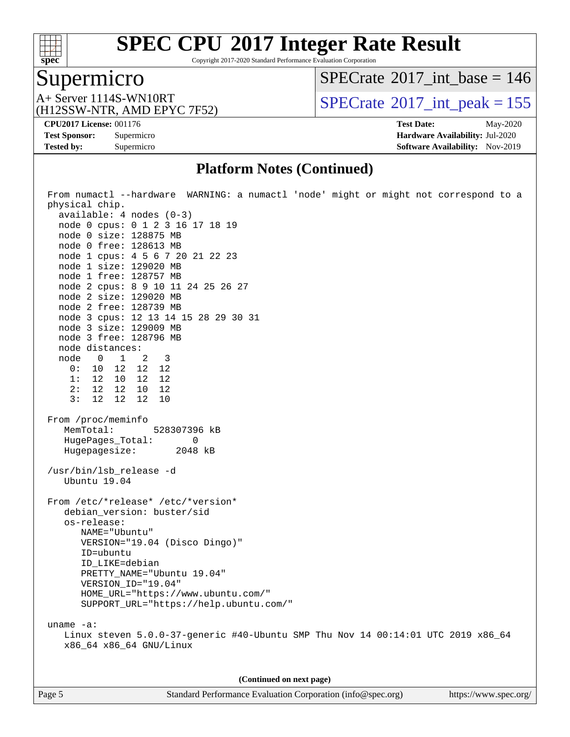

Copyright 2017-2020 Standard Performance Evaluation Corporation

### Supermicro

 $SPECrate$ <sup>®</sup>[2017\\_int\\_base =](http://www.spec.org/auto/cpu2017/Docs/result-fields.html#SPECrate2017intbase) 146

(H12SSW-NTR, AMD EPYC 7F52)

A+ Server 1114S-WN10RT<br>(H12SSW-NTR AMD EPYC 7F52) [SPECrate](http://www.spec.org/auto/cpu2017/Docs/result-fields.html#SPECrate2017intpeak)<sup>®</sup>[2017\\_int\\_peak = 1](http://www.spec.org/auto/cpu2017/Docs/result-fields.html#SPECrate2017intpeak)55

**[Tested by:](http://www.spec.org/auto/cpu2017/Docs/result-fields.html#Testedby)** Supermicro **Supermicro [Software Availability:](http://www.spec.org/auto/cpu2017/Docs/result-fields.html#SoftwareAvailability)** Nov-2019

**[CPU2017 License:](http://www.spec.org/auto/cpu2017/Docs/result-fields.html#CPU2017License)** 001176 **[Test Date:](http://www.spec.org/auto/cpu2017/Docs/result-fields.html#TestDate)** May-2020 **[Test Sponsor:](http://www.spec.org/auto/cpu2017/Docs/result-fields.html#TestSponsor)** Supermicro **[Hardware Availability:](http://www.spec.org/auto/cpu2017/Docs/result-fields.html#HardwareAvailability)** Jul-2020

#### **[Platform Notes \(Continued\)](http://www.spec.org/auto/cpu2017/Docs/result-fields.html#PlatformNotes)**

| From numactl --hardware WARNING: a numactl 'node' might or might not correspond to a<br>physical chip.<br>$available: 4 nodes (0-3)$ |  |  |  |  |  |
|--------------------------------------------------------------------------------------------------------------------------------------|--|--|--|--|--|
| node 0 cpus: 0 1 2 3 16 17 18 19                                                                                                     |  |  |  |  |  |
| node 0 size: 128875 MB                                                                                                               |  |  |  |  |  |
| node 0 free: 128613 MB                                                                                                               |  |  |  |  |  |
| node 1 cpus: 4 5 6 7 20 21 22 23                                                                                                     |  |  |  |  |  |
| node 1 size: 129020 MB                                                                                                               |  |  |  |  |  |
| node 1 free: 128757 MB                                                                                                               |  |  |  |  |  |
| node 2 cpus: 8 9 10 11 24 25 26 27                                                                                                   |  |  |  |  |  |
| node 2 size: 129020 MB                                                                                                               |  |  |  |  |  |
| node 2 free: 128739 MB                                                                                                               |  |  |  |  |  |
| node 3 cpus: 12 13 14 15 28 29 30 31<br>node 3 size: 129009 MB                                                                       |  |  |  |  |  |
| node 3 free: 128796 MB                                                                                                               |  |  |  |  |  |
| node distances:                                                                                                                      |  |  |  |  |  |
| node 0 1 2<br>$\overline{\phantom{a}}$                                                                                               |  |  |  |  |  |
| 0: 10 12 12 12                                                                                                                       |  |  |  |  |  |
| 1: 12 10 12 12                                                                                                                       |  |  |  |  |  |
| 2: 12 12 10 12                                                                                                                       |  |  |  |  |  |
| 3:<br>12 12 12<br>10                                                                                                                 |  |  |  |  |  |
| From /proc/meminfo<br>MemTotal:<br>528307396 kB<br>HugePages_Total:<br>0                                                             |  |  |  |  |  |
| Hugepagesize: 2048 kB                                                                                                                |  |  |  |  |  |
| /usr/bin/lsb_release -d<br>Ubuntu 19.04                                                                                              |  |  |  |  |  |
| From /etc/*release* /etc/*version*<br>debian_version: buster/sid                                                                     |  |  |  |  |  |
| os-release:                                                                                                                          |  |  |  |  |  |
| NAME="Ubuntu"                                                                                                                        |  |  |  |  |  |
| VERSION="19.04 (Disco Dingo)"                                                                                                        |  |  |  |  |  |
| ID=ubuntu                                                                                                                            |  |  |  |  |  |
| ID_LIKE=debian                                                                                                                       |  |  |  |  |  |
| PRETTY_NAME="Ubuntu 19.04"                                                                                                           |  |  |  |  |  |
| VERSION_ID="19.04"<br>HOME_URL="https://www.ubuntu.com/"                                                                             |  |  |  |  |  |
| SUPPORT_URL="https://help.ubuntu.com/"                                                                                               |  |  |  |  |  |
|                                                                                                                                      |  |  |  |  |  |
| uname $-a$ :                                                                                                                         |  |  |  |  |  |
| Linux steven 5.0.0-37-generic #40-Ubuntu SMP Thu Nov 14 00:14:01 UTC 2019 x86_64<br>x86_64 x86_64 GNU/Linux                          |  |  |  |  |  |
|                                                                                                                                      |  |  |  |  |  |
| (Continued on next page)                                                                                                             |  |  |  |  |  |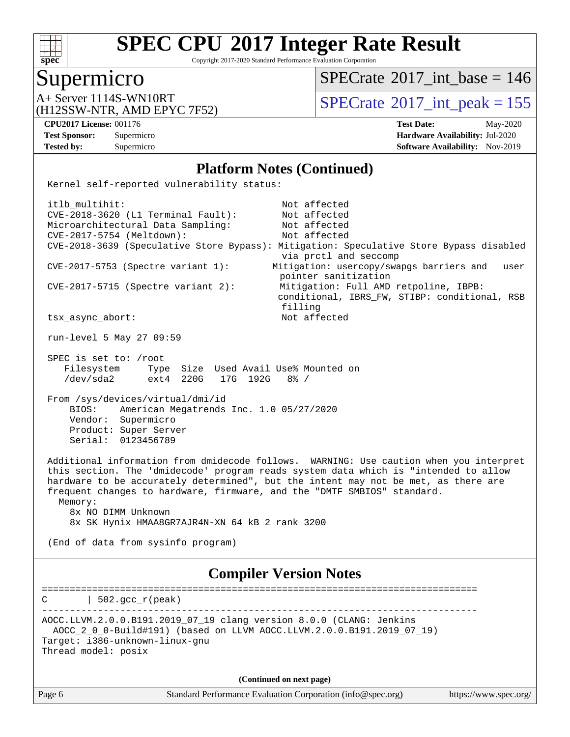

Copyright 2017-2020 Standard Performance Evaluation Corporation

#### Supermicro

 $SPECrate$ <sup>®</sup>[2017\\_int\\_base =](http://www.spec.org/auto/cpu2017/Docs/result-fields.html#SPECrate2017intbase) 146

(H12SSW-NTR, AMD EPYC 7F52)

A+ Server 1114S-WN10RT<br>(H12SSW NTP AMD ERVC 7E52)

**[CPU2017 License:](http://www.spec.org/auto/cpu2017/Docs/result-fields.html#CPU2017License)** 001176 **[Test Date:](http://www.spec.org/auto/cpu2017/Docs/result-fields.html#TestDate)** May-2020 **[Test Sponsor:](http://www.spec.org/auto/cpu2017/Docs/result-fields.html#TestSponsor)** Supermicro **[Hardware Availability:](http://www.spec.org/auto/cpu2017/Docs/result-fields.html#HardwareAvailability)** Jul-2020 **[Tested by:](http://www.spec.org/auto/cpu2017/Docs/result-fields.html#Testedby)** Supermicro **[Software Availability:](http://www.spec.org/auto/cpu2017/Docs/result-fields.html#SoftwareAvailability)** Nov-2019

#### **[Platform Notes \(Continued\)](http://www.spec.org/auto/cpu2017/Docs/result-fields.html#PlatformNotes)**

Kernel self-reported vulnerability status:

itlb\_multihit: Not affected CVE-2018-3620 (L1 Terminal Fault): Not affected Microarchitectural Data Sampling: Not affected CVE-2017-5754 (Meltdown): Not affected CVE-2018-3639 (Speculative Store Bypass): Mitigation: Speculative Store Bypass disabled via prctl and seccomp CVE-2017-5753 (Spectre variant 1): Mitigation: usercopy/swapgs barriers and \_\_user pointer sanitization CVE-2017-5715 (Spectre variant 2): Mitigation: Full AMD retpoline, IBPB: conditional, IBRS\_FW, STIBP: conditional, RSB filling tsx\_async\_abort: Not affected run-level 5 May 27 09:59 SPEC is set to: /root Filesystem Type Size Used Avail Use% Mounted on /dev/sda2 ext4 220G 17G 192G 8% / From /sys/devices/virtual/dmi/id BIOS: American Megatrends Inc. 1.0 05/27/2020 Vendor: Supermicro Product: Super Server Serial: 0123456789 Additional information from dmidecode follows. WARNING: Use caution when you interpret this section. The 'dmidecode' program reads system data which is "intended to allow hardware to be accurately determined", but the intent may not be met, as there are frequent changes to hardware, firmware, and the "DMTF SMBIOS" standard. Memory: 8x NO DIMM Unknown 8x SK Hynix HMAA8GR7AJR4N-XN 64 kB 2 rank 3200 (End of data from sysinfo program) **[Compiler Version Notes](http://www.spec.org/auto/cpu2017/Docs/result-fields.html#CompilerVersionNotes)** ==============================================================================  $C \qquad \qquad | \; 502.\text{gcc\_r}(\text{peak})$ ------------------------------------------------------------------------------

AOCC.LLVM.2.0.0.B191.2019\_07\_19 clang version 8.0.0 (CLANG: Jenkins AOCC\_2\_0\_0-Build#191) (based on LLVM AOCC.LLVM.2.0.0.B191.2019\_07\_19) Target: i386-unknown-linux-gnu Thread model: posix

**(Continued on next page)**

| Page o |  |
|--------|--|
|--------|--|

Page 6 Standard Performance Evaluation Corporation [\(info@spec.org\)](mailto:info@spec.org) <https://www.spec.org/>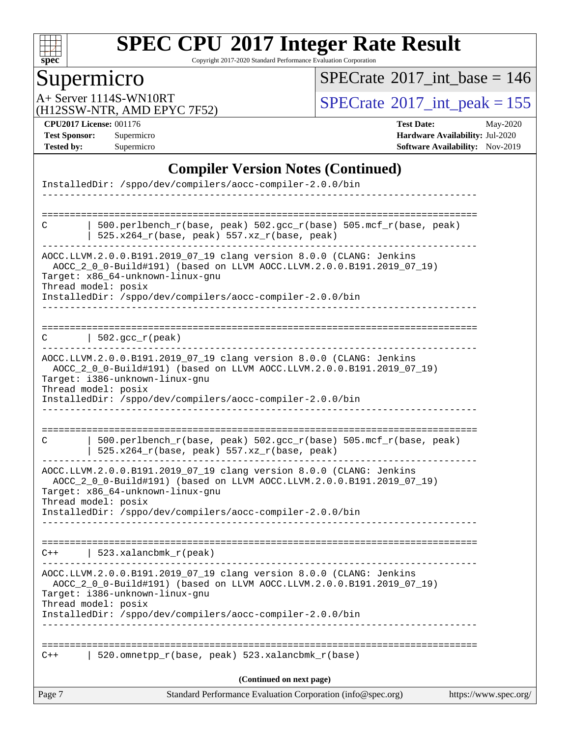

Copyright 2017-2020 Standard Performance Evaluation Corporation

## **Supermicro**

 $SPECrate$ <sup>®</sup>[2017\\_int\\_base =](http://www.spec.org/auto/cpu2017/Docs/result-fields.html#SPECrate2017intbase) 146

(H12SSW-NTR, AMD EPYC 7F52)

A+ Server 1114S-WN10RT<br>
(H12SSW-NTR AMD EPYC 7F52) [SPECrate](http://www.spec.org/auto/cpu2017/Docs/result-fields.html#SPECrate2017intpeak)<sup>®</sup>[2017\\_int\\_peak = 1](http://www.spec.org/auto/cpu2017/Docs/result-fields.html#SPECrate2017intpeak)55

**[CPU2017 License:](http://www.spec.org/auto/cpu2017/Docs/result-fields.html#CPU2017License)** 001176 **[Test Date:](http://www.spec.org/auto/cpu2017/Docs/result-fields.html#TestDate)** May-2020 **[Test Sponsor:](http://www.spec.org/auto/cpu2017/Docs/result-fields.html#TestSponsor)** Supermicro **[Hardware Availability:](http://www.spec.org/auto/cpu2017/Docs/result-fields.html#HardwareAvailability)** Jul-2020 **[Tested by:](http://www.spec.org/auto/cpu2017/Docs/result-fields.html#Testedby)** Supermicro **[Software Availability:](http://www.spec.org/auto/cpu2017/Docs/result-fields.html#SoftwareAvailability)** Nov-2019

#### **[Compiler Version Notes \(Continued\)](http://www.spec.org/auto/cpu2017/Docs/result-fields.html#CompilerVersionNotes)**

| Page 7 | Standard Performance Evaluation Corporation (info@spec.org)                                                                                                                    | https://www.spec.org/ |
|--------|--------------------------------------------------------------------------------------------------------------------------------------------------------------------------------|-----------------------|
|        | (Continued on next page)                                                                                                                                                       |                       |
| $C++$  | 520.omnetpp_r(base, peak) 523.xalancbmk_r(base)                                                                                                                                |                       |
|        | InstalledDir: /sppo/dev/compilers/aocc-compiler-2.0.0/bin                                                                                                                      |                       |
|        | AOCC_2_0_0-Build#191) (based on LLVM AOCC.LLVM.2.0.0.B191.2019_07_19)<br>Target: i386-unknown-linux-gnu<br>Thread model: posix                                                 |                       |
|        | AOCC.LLVM.2.0.0.B191.2019_07_19 clang version 8.0.0 (CLANG: Jenkins                                                                                                            |                       |
| $C++$  | 523.xalancbmk_r(peak)                                                                                                                                                          |                       |
|        | InstalledDir: /sppo/dev/compilers/aocc-compiler-2.0.0/bin                                                                                                                      |                       |
|        | AOCC_2_0_0-Build#191) (based on LLVM AOCC.LLVM.2.0.0.B191.2019_07_19)<br>Target: x86_64-unknown-linux-gnu<br>Thread model: posix                                               |                       |
|        | AOCC.LLVM.2.0.0.B191.2019_07_19 clang version 8.0.0 (CLANG: Jenkins                                                                                                            |                       |
| C      | 500.perlbench_r(base, peak) 502.gcc_r(base) 505.mcf_r(base, peak)<br>525.x264_r(base, peak) 557.xz_r(base, peak)                                                               |                       |
|        | InstalledDir: /sppo/dev/compilers/aocc-compiler-2.0.0/bin                                                                                                                      |                       |
|        | Thread model: posix                                                                                                                                                            |                       |
|        | AOCC.LLVM.2.0.0.B191.2019_07_19 clang version 8.0.0 (CLANG: Jenkins<br>AOCC_2_0_0-Build#191) (based on LLVM AOCC.LLVM.2.0.0.B191.2019_07_19)<br>Target: i386-unknown-linux-gnu |                       |
|        | _______________________________                                                                                                                                                |                       |
| C      | $\vert$ 502.gcc_r(peak)                                                                                                                                                        |                       |
|        | Target: x86_64-unknown-linux-gnu<br>Thread model: posix<br>InstalledDir: /sppo/dev/compilers/aocc-compiler-2.0.0/bin                                                           |                       |
|        | AOCC.LLVM.2.0.0.B191.2019_07_19 clang version 8.0.0 (CLANG: Jenkins<br>AOCC_2_0_0-Build#191) (based on LLVM AOCC.LLVM.2.0.0.B191.2019_07_19)                                   |                       |
| C      | 500.perlbench_r(base, peak) 502.gcc_r(base) 505.mcf_r(base, peak)<br>525.x264_r(base, peak) 557.xz_r(base, peak)                                                               |                       |
|        | ============                                                                                                                                                                   |                       |
|        | InstalledDir: /sppo/dev/compilers/aocc-compiler-2.0.0/bin                                                                                                                      |                       |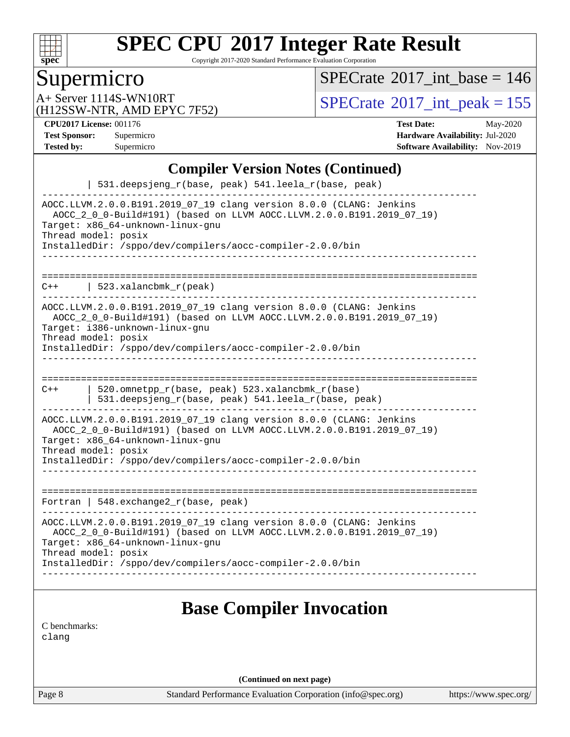

Copyright 2017-2020 Standard Performance Evaluation Corporation

### Supermicro

 $SPECrate$ <sup>®</sup>[2017\\_int\\_base =](http://www.spec.org/auto/cpu2017/Docs/result-fields.html#SPECrate2017intbase) 146

(H12SSW-NTR, AMD EPYC 7F52)

A+ Server 1114S-WN10RT<br>(H12SSW-NTR AMD EPYC 7F52) [SPECrate](http://www.spec.org/auto/cpu2017/Docs/result-fields.html#SPECrate2017intpeak)<sup>®</sup>[2017\\_int\\_peak = 1](http://www.spec.org/auto/cpu2017/Docs/result-fields.html#SPECrate2017intpeak)55

**[CPU2017 License:](http://www.spec.org/auto/cpu2017/Docs/result-fields.html#CPU2017License)** 001176 **[Test Date:](http://www.spec.org/auto/cpu2017/Docs/result-fields.html#TestDate)** May-2020 **[Test Sponsor:](http://www.spec.org/auto/cpu2017/Docs/result-fields.html#TestSponsor)** Supermicro **[Hardware Availability:](http://www.spec.org/auto/cpu2017/Docs/result-fields.html#HardwareAvailability)** Jul-2020 **[Tested by:](http://www.spec.org/auto/cpu2017/Docs/result-fields.html#Testedby)** Supermicro **Supermicro [Software Availability:](http://www.spec.org/auto/cpu2017/Docs/result-fields.html#SoftwareAvailability)** Nov-2019

#### **[Compiler Version Notes \(Continued\)](http://www.spec.org/auto/cpu2017/Docs/result-fields.html#CompilerVersionNotes)**

| 531.deepsjeng_r(base, peak) 541.leela_r(base, peak)                                                                                                                                                                                                                  |  |  |  |  |
|----------------------------------------------------------------------------------------------------------------------------------------------------------------------------------------------------------------------------------------------------------------------|--|--|--|--|
| AOCC.LLVM.2.0.0.B191.2019_07_19 clang version 8.0.0 (CLANG: Jenkins<br>AOCC_2_0_0-Build#191) (based on LLVM AOCC.LLVM.2.0.0.B191.2019_07_19)<br>Target: x86_64-unknown-linux-gnu<br>Thread model: posix<br>InstalledDir: /sppo/dev/compilers/aocc-compiler-2.0.0/bin |  |  |  |  |
|                                                                                                                                                                                                                                                                      |  |  |  |  |
|                                                                                                                                                                                                                                                                      |  |  |  |  |
| 523.xalancbmk r(peak)<br>$C++$                                                                                                                                                                                                                                       |  |  |  |  |
| AOCC.LLVM.2.0.0.B191.2019_07_19 clang version 8.0.0 (CLANG: Jenkins<br>AOCC_2_0_0-Build#191) (based on LLVM AOCC.LLVM.2.0.0.B191.2019_07_19)<br>Target: i386-unknown-linux-gnu<br>Thread model: posix                                                                |  |  |  |  |
| InstalledDir: /sppo/dev/compilers/aocc-compiler-2.0.0/bin                                                                                                                                                                                                            |  |  |  |  |
|                                                                                                                                                                                                                                                                      |  |  |  |  |
| $C++$<br>520.omnetpp_r(base, peak) 523.xalancbmk_r(base)<br>531.deepsjeng_r(base, peak) 541.leela_r(base, peak)                                                                                                                                                      |  |  |  |  |
| AOCC.LLVM.2.0.0.B191.2019_07_19 clang version 8.0.0 (CLANG: Jenkins<br>AOCC_2_0_0-Build#191) (based on LLVM AOCC.LLVM.2.0.0.B191.2019_07_19)<br>Target: x86_64-unknown-linux-gnu<br>Thread model: posix                                                              |  |  |  |  |
| InstalledDir: /sppo/dev/compilers/aocc-compiler-2.0.0/bin                                                                                                                                                                                                            |  |  |  |  |
|                                                                                                                                                                                                                                                                      |  |  |  |  |
| Fortran   $548$ . exchange $2r$ (base, peak)                                                                                                                                                                                                                         |  |  |  |  |
| AOCC.LLVM.2.0.0.B191.2019_07_19 clang version 8.0.0 (CLANG: Jenkins<br>AOCC_2_0_0-Build#191) (based on LLVM AOCC.LLVM.2.0.0.B191.2019_07_19)<br>Target: x86_64-unknown-linux-gnu<br>Thread model: posix                                                              |  |  |  |  |
| InstalledDir: /sppo/dev/compilers/aocc-compiler-2.0.0/bin                                                                                                                                                                                                            |  |  |  |  |
|                                                                                                                                                                                                                                                                      |  |  |  |  |
| <b>Base Compiler Invocation</b>                                                                                                                                                                                                                                      |  |  |  |  |
|                                                                                                                                                                                                                                                                      |  |  |  |  |
| C benchmarks:<br>clang                                                                                                                                                                                                                                               |  |  |  |  |

**(Continued on next page)**

Page 8 Standard Performance Evaluation Corporation [\(info@spec.org\)](mailto:info@spec.org) <https://www.spec.org/>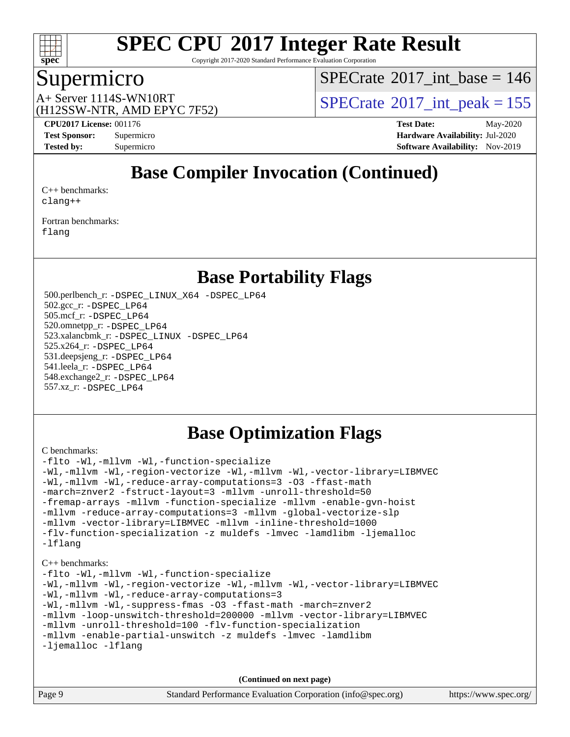

Copyright 2017-2020 Standard Performance Evaluation Corporation

#### Supermicro

 $SPECTate$ <sup>®</sup>[2017\\_int\\_base =](http://www.spec.org/auto/cpu2017/Docs/result-fields.html#SPECrate2017intbase) 146

(H12SSW-NTR, AMD EPYC 7F52)

A+ Server 1114S-WN10RT  $\begin{array}{c} \text{SPECrate} \text{\textdegree}2017\_int\_peak = 155 \\ \text{SPECrate} \text{\textdegree}2017\_int\_peak = 155 \end{array}$  $\begin{array}{c} \text{SPECrate} \text{\textdegree}2017\_int\_peak = 155 \\ \text{SPECrate} \text{\textdegree}2017\_int\_peak = 155 \end{array}$  $\begin{array}{c} \text{SPECrate} \text{\textdegree}2017\_int\_peak = 155 \\ \text{SPECrate} \text{\textdegree}2017\_int\_peak = 155 \end{array}$ 

**[CPU2017 License:](http://www.spec.org/auto/cpu2017/Docs/result-fields.html#CPU2017License)** 001176 **[Test Date:](http://www.spec.org/auto/cpu2017/Docs/result-fields.html#TestDate)** May-2020 **[Test Sponsor:](http://www.spec.org/auto/cpu2017/Docs/result-fields.html#TestSponsor)** Supermicro **[Hardware Availability:](http://www.spec.org/auto/cpu2017/Docs/result-fields.html#HardwareAvailability)** Jul-2020 **[Tested by:](http://www.spec.org/auto/cpu2017/Docs/result-fields.html#Testedby)** Supermicro **[Software Availability:](http://www.spec.org/auto/cpu2017/Docs/result-fields.html#SoftwareAvailability)** Nov-2019

### **[Base Compiler Invocation \(Continued\)](http://www.spec.org/auto/cpu2017/Docs/result-fields.html#BaseCompilerInvocation)**

[C++ benchmarks:](http://www.spec.org/auto/cpu2017/Docs/result-fields.html#CXXbenchmarks) [clang++](http://www.spec.org/cpu2017/results/res2020q3/cpu2017-20200707-23427.flags.html#user_CXXbase_clang-cpp)

[Fortran benchmarks](http://www.spec.org/auto/cpu2017/Docs/result-fields.html#Fortranbenchmarks): [flang](http://www.spec.org/cpu2017/results/res2020q3/cpu2017-20200707-23427.flags.html#user_FCbase_flang)

#### **[Base Portability Flags](http://www.spec.org/auto/cpu2017/Docs/result-fields.html#BasePortabilityFlags)**

 500.perlbench\_r: [-DSPEC\\_LINUX\\_X64](http://www.spec.org/cpu2017/results/res2020q3/cpu2017-20200707-23427.flags.html#b500.perlbench_r_basePORTABILITY_DSPEC_LINUX_X64) [-DSPEC\\_LP64](http://www.spec.org/cpu2017/results/res2020q3/cpu2017-20200707-23427.flags.html#b500.perlbench_r_baseEXTRA_PORTABILITY_DSPEC_LP64) 502.gcc\_r: [-DSPEC\\_LP64](http://www.spec.org/cpu2017/results/res2020q3/cpu2017-20200707-23427.flags.html#suite_baseEXTRA_PORTABILITY502_gcc_r_DSPEC_LP64) 505.mcf\_r: [-DSPEC\\_LP64](http://www.spec.org/cpu2017/results/res2020q3/cpu2017-20200707-23427.flags.html#suite_baseEXTRA_PORTABILITY505_mcf_r_DSPEC_LP64) 520.omnetpp\_r: [-DSPEC\\_LP64](http://www.spec.org/cpu2017/results/res2020q3/cpu2017-20200707-23427.flags.html#suite_baseEXTRA_PORTABILITY520_omnetpp_r_DSPEC_LP64) 523.xalancbmk\_r: [-DSPEC\\_LINUX](http://www.spec.org/cpu2017/results/res2020q3/cpu2017-20200707-23427.flags.html#b523.xalancbmk_r_basePORTABILITY_DSPEC_LINUX) [-DSPEC\\_LP64](http://www.spec.org/cpu2017/results/res2020q3/cpu2017-20200707-23427.flags.html#suite_baseEXTRA_PORTABILITY523_xalancbmk_r_DSPEC_LP64) 525.x264\_r: [-DSPEC\\_LP64](http://www.spec.org/cpu2017/results/res2020q3/cpu2017-20200707-23427.flags.html#suite_baseEXTRA_PORTABILITY525_x264_r_DSPEC_LP64) 531.deepsjeng\_r: [-DSPEC\\_LP64](http://www.spec.org/cpu2017/results/res2020q3/cpu2017-20200707-23427.flags.html#suite_baseEXTRA_PORTABILITY531_deepsjeng_r_DSPEC_LP64) 541.leela\_r: [-DSPEC\\_LP64](http://www.spec.org/cpu2017/results/res2020q3/cpu2017-20200707-23427.flags.html#suite_baseEXTRA_PORTABILITY541_leela_r_DSPEC_LP64) 548.exchange2\_r: [-DSPEC\\_LP64](http://www.spec.org/cpu2017/results/res2020q3/cpu2017-20200707-23427.flags.html#suite_baseEXTRA_PORTABILITY548_exchange2_r_DSPEC_LP64) 557.xz\_r: [-DSPEC\\_LP64](http://www.spec.org/cpu2017/results/res2020q3/cpu2017-20200707-23427.flags.html#suite_baseEXTRA_PORTABILITY557_xz_r_DSPEC_LP64)

### **[Base Optimization Flags](http://www.spec.org/auto/cpu2017/Docs/result-fields.html#BaseOptimizationFlags)**

[C benchmarks](http://www.spec.org/auto/cpu2017/Docs/result-fields.html#Cbenchmarks):

```
-flto -Wl,-mllvm -Wl,-function-specialize
-Wl,-mllvm -Wl,-region-vectorize -Wl,-mllvm -Wl,-vector-library=LIBMVEC
-Wl,-mllvm -Wl,-reduce-array-computations=3 -O3 -ffast-math
-march=znver2 -fstruct-layout=3 -mllvm -unroll-threshold=50
-fremap-arrays -mllvm -function-specialize -mllvm -enable-gvn-hoist
-mllvm -reduce-array-computations=3 -mllvm -global-vectorize-slp
-mllvm -vector-library=LIBMVEC -mllvm -inline-threshold=1000
-flv-function-specialization -z muldefs -lmvec -lamdlibm -ljemalloc
-lflang
C++ benchmarks: 
-flto -Wl,-mllvm -Wl,-function-specialize
-Wl,-mllvm -Wl,-region-vectorize -Wl,-mllvm -Wl,-vector-library=LIBMVEC
-Wl,-mllvm -Wl,-reduce-array-computations=3
-Wl,-mllvm -Wl,-suppress-fmas -O3 -ffast-math -march=znver2
-mllvm -loop-unswitch-threshold=200000 -mllvm -vector-library=LIBMVEC
-mllvm -unroll-threshold=100 -flv-function-specialization
-mllvm -enable-partial-unswitch -z muldefs -lmvec -lamdlibm
```
[-ljemalloc](http://www.spec.org/cpu2017/results/res2020q3/cpu2017-20200707-23427.flags.html#user_CXXbase_jemalloc-lib) [-lflang](http://www.spec.org/cpu2017/results/res2020q3/cpu2017-20200707-23427.flags.html#user_CXXbase_F-lflang)

**(Continued on next page)**

|        | $\blacksquare$                                              |                       |
|--------|-------------------------------------------------------------|-----------------------|
| Page 9 | Standard Performance Evaluation Corporation (info@spec.org) | https://www.spec.org/ |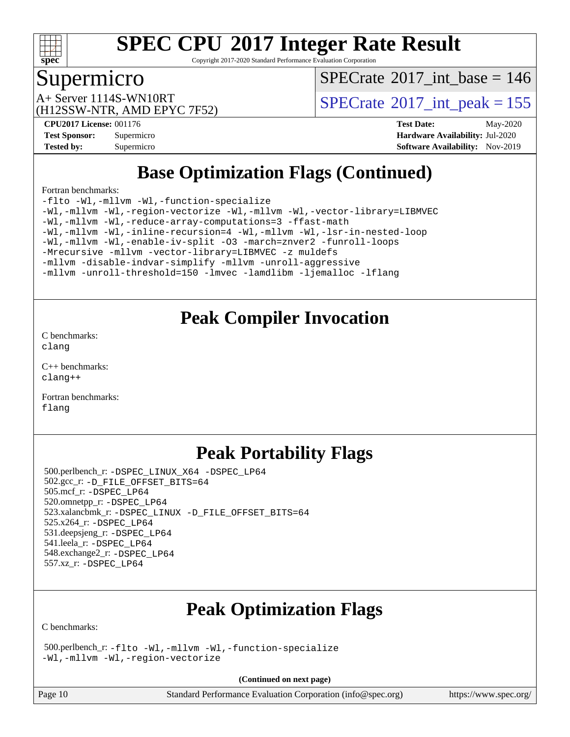

Copyright 2017-2020 Standard Performance Evaluation Corporation

#### Supermicro

 $SPECTate$ <sup>®</sup>[2017\\_int\\_base =](http://www.spec.org/auto/cpu2017/Docs/result-fields.html#SPECrate2017intbase) 146

(H12SSW-NTR, AMD EPYC 7F52)

A+ Server 1114S-WN10RT<br>(H12SSW NTP AMD ERVC 7E52)

**[CPU2017 License:](http://www.spec.org/auto/cpu2017/Docs/result-fields.html#CPU2017License)** 001176 **[Test Date:](http://www.spec.org/auto/cpu2017/Docs/result-fields.html#TestDate)** May-2020 **[Test Sponsor:](http://www.spec.org/auto/cpu2017/Docs/result-fields.html#TestSponsor)** Supermicro **[Hardware Availability:](http://www.spec.org/auto/cpu2017/Docs/result-fields.html#HardwareAvailability)** Jul-2020 **[Tested by:](http://www.spec.org/auto/cpu2017/Docs/result-fields.html#Testedby)** Supermicro **[Software Availability:](http://www.spec.org/auto/cpu2017/Docs/result-fields.html#SoftwareAvailability)** Nov-2019

### **[Base Optimization Flags \(Continued\)](http://www.spec.org/auto/cpu2017/Docs/result-fields.html#BaseOptimizationFlags)**

[Fortran benchmarks](http://www.spec.org/auto/cpu2017/Docs/result-fields.html#Fortranbenchmarks):

[-flto](http://www.spec.org/cpu2017/results/res2020q3/cpu2017-20200707-23427.flags.html#user_FCbase_aocc-flto) [-Wl,-mllvm -Wl,-function-specialize](http://www.spec.org/cpu2017/results/res2020q3/cpu2017-20200707-23427.flags.html#user_FCbase_F-function-specialize_7e7e661e57922243ee67c9a1251cb8910e607325179a0ce7f2884e09a6f5d4a5ef0ae4f37e8a2a11c95fc48e931f06dc2b6016f14b511fcb441e048bef1b065a) [-Wl,-mllvm -Wl,-region-vectorize](http://www.spec.org/cpu2017/results/res2020q3/cpu2017-20200707-23427.flags.html#user_FCbase_F-region-vectorize_fb6c6b5aa293c88efc6c7c2b52b20755e943585b1fe8658c35afef78727fff56e1a56891413c30e36b8e2a6f9a71126986319243e80eb6110b78b288f533c52b) [-Wl,-mllvm -Wl,-vector-library=LIBMVEC](http://www.spec.org/cpu2017/results/res2020q3/cpu2017-20200707-23427.flags.html#user_FCbase_F-use-vector-library_0a14b27fae317f283640384a31f7bfcc2bd4c1d0b5cfc618a3a430800c9b20217b00f61303eff223a3251b4f06ffbc9739dc5296db9d1fbb9ad24a3939d86d66) [-Wl,-mllvm -Wl,-reduce-array-computations=3](http://www.spec.org/cpu2017/results/res2020q3/cpu2017-20200707-23427.flags.html#user_FCbase_F-reduce-array-computations_b882aefe7a5dda4e33149f6299762b9a720dace3e498e13756f4c04e5a19edf5315c1f3993de2e61ec41e8c206231f84e05da7040e1bb5d69ba27d10a12507e4) [-ffast-math](http://www.spec.org/cpu2017/results/res2020q3/cpu2017-20200707-23427.flags.html#user_FCbase_aocc-ffast-math) [-Wl,-mllvm -Wl,-inline-recursion=4](http://www.spec.org/cpu2017/results/res2020q3/cpu2017-20200707-23427.flags.html#user_FCbase_F-inline-recursion) [-Wl,-mllvm -Wl,-lsr-in-nested-loop](http://www.spec.org/cpu2017/results/res2020q3/cpu2017-20200707-23427.flags.html#user_FCbase_F-lsr-in-nested-loop_de4bc7331d07d857538198a5cc9592bc905d78a18065d49b9acfd1f777ae9eca5716aaa3e0e674a48e2e5ec9dad184ee0c682635ad7eff4181b32ab748bf2f49) [-Wl,-mllvm -Wl,-enable-iv-split](http://www.spec.org/cpu2017/results/res2020q3/cpu2017-20200707-23427.flags.html#user_FCbase_F-enable-iv-split_efc18925ba63acc4bb74cb6e43d0987b7b3cf01924ad910e2a6edbbbd0f8b582e31f1ee7ccede3f08176ef2ad41c69507170fb32301bf478d45ceb38dfb89c5e) [-O3](http://www.spec.org/cpu2017/results/res2020q3/cpu2017-20200707-23427.flags.html#user_FCbase_F-O3) [-march=znver2](http://www.spec.org/cpu2017/results/res2020q3/cpu2017-20200707-23427.flags.html#user_FCbase_aocc-march_3e2e19cff2eeef60c5d90b059483627c9ea47eca6d66670dbd53f9185f6439e27eb5e104cf773e9e8ab18c8842ce63e461a3e948d0214bd567ef3ade411bf467) [-funroll-loops](http://www.spec.org/cpu2017/results/res2020q3/cpu2017-20200707-23427.flags.html#user_FCbase_aocc-unroll-loops) [-Mrecursive](http://www.spec.org/cpu2017/results/res2020q3/cpu2017-20200707-23427.flags.html#user_FCbase_F-mrecursive_20a145d63f12d5750a899e17d4450b5b8b40330a9bb4af13688ca650e6fb30857bbbe44fb35cdbb895df6e5b2769de0a0d7659f51ff17acfbef6febafec4023f) [-mllvm -vector-library=LIBMVEC](http://www.spec.org/cpu2017/results/res2020q3/cpu2017-20200707-23427.flags.html#user_FCbase_F-use-vector-library_e584e20b4f7ec96aa109254b65d8e01d864f3d68580371b9d93ed7c338191d4cfce20c3c864632264effc6bbe4c7c38153d02096a342ee92501c4a53204a7871) [-z muldefs](http://www.spec.org/cpu2017/results/res2020q3/cpu2017-20200707-23427.flags.html#user_FCbase_aocc-muldefs) [-mllvm -disable-indvar-simplify](http://www.spec.org/cpu2017/results/res2020q3/cpu2017-20200707-23427.flags.html#user_FCbase_F-disable-indvar-simplify_c8d861bf19eba5001219ab52ef051176e06bf3166017d5c1ce87aec66e795c6723d10bf23d5a91730d61ad4b3f566b39dd0a4d6e5b2af269ebae30428a1f3630) [-mllvm -unroll-aggressive](http://www.spec.org/cpu2017/results/res2020q3/cpu2017-20200707-23427.flags.html#user_FCbase_F-unroll-aggressive_a366db20af3fd871754361e6b05945ac700b8c3fc538cc6688c755ae5874c6da3d6f3bb6e8d93320d5094064830fdb2c06064831f0f08d916cd8f333e5dba6d9) [-mllvm -unroll-threshold=150](http://www.spec.org/cpu2017/results/res2020q3/cpu2017-20200707-23427.flags.html#user_FCbase_F-unroll-threshold_3352736ce55666ed13437f5f5fd6693920e68d4dfd26bba42492bb1c46b6d7692ff5ba7bd4d2ebdab48d140ca981a39154ff0664b4d322a66fc3d1aafa4d7ffe) [-lmvec](http://www.spec.org/cpu2017/results/res2020q3/cpu2017-20200707-23427.flags.html#user_FCbase_F-lmvec) [-lamdlibm](http://www.spec.org/cpu2017/results/res2020q3/cpu2017-20200707-23427.flags.html#user_FCbase_F-lamdlibm) [-ljemalloc](http://www.spec.org/cpu2017/results/res2020q3/cpu2017-20200707-23427.flags.html#user_FCbase_jemalloc-lib) [-lflang](http://www.spec.org/cpu2017/results/res2020q3/cpu2017-20200707-23427.flags.html#user_FCbase_F-lflang)

### **[Peak Compiler Invocation](http://www.spec.org/auto/cpu2017/Docs/result-fields.html#PeakCompilerInvocation)**

[C benchmarks](http://www.spec.org/auto/cpu2017/Docs/result-fields.html#Cbenchmarks): [clang](http://www.spec.org/cpu2017/results/res2020q3/cpu2017-20200707-23427.flags.html#user_CCpeak_clang-c)

[C++ benchmarks:](http://www.spec.org/auto/cpu2017/Docs/result-fields.html#CXXbenchmarks) [clang++](http://www.spec.org/cpu2017/results/res2020q3/cpu2017-20200707-23427.flags.html#user_CXXpeak_clang-cpp)

[Fortran benchmarks](http://www.spec.org/auto/cpu2017/Docs/result-fields.html#Fortranbenchmarks): [flang](http://www.spec.org/cpu2017/results/res2020q3/cpu2017-20200707-23427.flags.html#user_FCpeak_flang)

### **[Peak Portability Flags](http://www.spec.org/auto/cpu2017/Docs/result-fields.html#PeakPortabilityFlags)**

 500.perlbench\_r: [-DSPEC\\_LINUX\\_X64](http://www.spec.org/cpu2017/results/res2020q3/cpu2017-20200707-23427.flags.html#b500.perlbench_r_peakPORTABILITY_DSPEC_LINUX_X64) [-DSPEC\\_LP64](http://www.spec.org/cpu2017/results/res2020q3/cpu2017-20200707-23427.flags.html#b500.perlbench_r_peakEXTRA_PORTABILITY_DSPEC_LP64) 502.gcc\_r: [-D\\_FILE\\_OFFSET\\_BITS=64](http://www.spec.org/cpu2017/results/res2020q3/cpu2017-20200707-23427.flags.html#user_peakEXTRA_PORTABILITY502_gcc_r_F-D_FILE_OFFSET_BITS_5ae949a99b284ddf4e95728d47cb0843d81b2eb0e18bdfe74bbf0f61d0b064f4bda2f10ea5eb90e1dcab0e84dbc592acfc5018bc955c18609f94ddb8d550002c) 505.mcf\_r: [-DSPEC\\_LP64](http://www.spec.org/cpu2017/results/res2020q3/cpu2017-20200707-23427.flags.html#suite_peakEXTRA_PORTABILITY505_mcf_r_DSPEC_LP64) 520.omnetpp\_r: [-DSPEC\\_LP64](http://www.spec.org/cpu2017/results/res2020q3/cpu2017-20200707-23427.flags.html#suite_peakEXTRA_PORTABILITY520_omnetpp_r_DSPEC_LP64) 523.xalancbmk\_r: [-DSPEC\\_LINUX](http://www.spec.org/cpu2017/results/res2020q3/cpu2017-20200707-23427.flags.html#b523.xalancbmk_r_peakPORTABILITY_DSPEC_LINUX) [-D\\_FILE\\_OFFSET\\_BITS=64](http://www.spec.org/cpu2017/results/res2020q3/cpu2017-20200707-23427.flags.html#user_peakEXTRA_PORTABILITY523_xalancbmk_r_F-D_FILE_OFFSET_BITS_5ae949a99b284ddf4e95728d47cb0843d81b2eb0e18bdfe74bbf0f61d0b064f4bda2f10ea5eb90e1dcab0e84dbc592acfc5018bc955c18609f94ddb8d550002c) 525.x264\_r: [-DSPEC\\_LP64](http://www.spec.org/cpu2017/results/res2020q3/cpu2017-20200707-23427.flags.html#suite_peakEXTRA_PORTABILITY525_x264_r_DSPEC_LP64) 531.deepsjeng\_r: [-DSPEC\\_LP64](http://www.spec.org/cpu2017/results/res2020q3/cpu2017-20200707-23427.flags.html#suite_peakEXTRA_PORTABILITY531_deepsjeng_r_DSPEC_LP64) 541.leela\_r: [-DSPEC\\_LP64](http://www.spec.org/cpu2017/results/res2020q3/cpu2017-20200707-23427.flags.html#suite_peakEXTRA_PORTABILITY541_leela_r_DSPEC_LP64) 548.exchange2\_r: [-DSPEC\\_LP64](http://www.spec.org/cpu2017/results/res2020q3/cpu2017-20200707-23427.flags.html#suite_peakEXTRA_PORTABILITY548_exchange2_r_DSPEC_LP64) 557.xz\_r: [-DSPEC\\_LP64](http://www.spec.org/cpu2017/results/res2020q3/cpu2017-20200707-23427.flags.html#suite_peakEXTRA_PORTABILITY557_xz_r_DSPEC_LP64)

### **[Peak Optimization Flags](http://www.spec.org/auto/cpu2017/Docs/result-fields.html#PeakOptimizationFlags)**

[C benchmarks](http://www.spec.org/auto/cpu2017/Docs/result-fields.html#Cbenchmarks):

 500.perlbench\_r: [-flto](http://www.spec.org/cpu2017/results/res2020q3/cpu2017-20200707-23427.flags.html#user_peakCOPTIMIZELDFLAGS500_perlbench_r_aocc-flto) [-Wl,-mllvm -Wl,-function-specialize](http://www.spec.org/cpu2017/results/res2020q3/cpu2017-20200707-23427.flags.html#user_peakLDFLAGS500_perlbench_r_F-function-specialize_7e7e661e57922243ee67c9a1251cb8910e607325179a0ce7f2884e09a6f5d4a5ef0ae4f37e8a2a11c95fc48e931f06dc2b6016f14b511fcb441e048bef1b065a) [-Wl,-mllvm -Wl,-region-vectorize](http://www.spec.org/cpu2017/results/res2020q3/cpu2017-20200707-23427.flags.html#user_peakLDFLAGS500_perlbench_r_F-region-vectorize_fb6c6b5aa293c88efc6c7c2b52b20755e943585b1fe8658c35afef78727fff56e1a56891413c30e36b8e2a6f9a71126986319243e80eb6110b78b288f533c52b)

**(Continued on next page)**

Page 10 Standard Performance Evaluation Corporation [\(info@spec.org\)](mailto:info@spec.org) <https://www.spec.org/>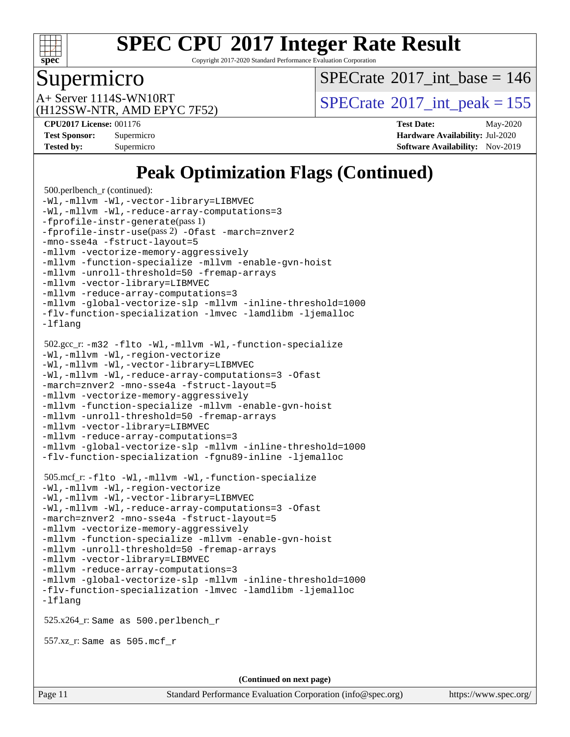

Copyright 2017-2020 Standard Performance Evaluation Corporation

#### Supermicro

 $SPECTate$ <sup>®</sup>[2017\\_int\\_base =](http://www.spec.org/auto/cpu2017/Docs/result-fields.html#SPECrate2017intbase) 146

(H12SSW-NTR, AMD EPYC 7F52)

A+ Server 1114S-WN10RT<br>(H12SSW NTP AMD ERVC 7E52)

**[CPU2017 License:](http://www.spec.org/auto/cpu2017/Docs/result-fields.html#CPU2017License)** 001176 **[Test Date:](http://www.spec.org/auto/cpu2017/Docs/result-fields.html#TestDate)** May-2020 **[Test Sponsor:](http://www.spec.org/auto/cpu2017/Docs/result-fields.html#TestSponsor)** Supermicro **[Hardware Availability:](http://www.spec.org/auto/cpu2017/Docs/result-fields.html#HardwareAvailability)** Jul-2020 **[Tested by:](http://www.spec.org/auto/cpu2017/Docs/result-fields.html#Testedby)** Supermicro **[Software Availability:](http://www.spec.org/auto/cpu2017/Docs/result-fields.html#SoftwareAvailability)** Nov-2019

### **[Peak Optimization Flags \(Continued\)](http://www.spec.org/auto/cpu2017/Docs/result-fields.html#PeakOptimizationFlags)**

```
 500.perlbench_r (continued):
-Wl,-mllvm -Wl,-vector-library=LIBMVEC
-Wl,-mllvm -Wl,-reduce-array-computations=3
-fprofile-instr-generate(pass 1)
-fprofile-instr-use(pass 2) -Ofast -march=znver2
-mno-sse4a -fstruct-layout=5
-mllvm -vectorize-memory-aggressively
-mllvm -function-specialize -mllvm -enable-gvn-hoist
-mllvm -unroll-threshold=50 -fremap-arrays
-mllvm -vector-library=LIBMVEC
-mllvm -reduce-array-computations=3
-mllvm -global-vectorize-slp -mllvm -inline-threshold=1000
-flv-function-specialization -lmvec -lamdlibm -ljemalloc
-lflang
 502.gcc_r: -m32 -flto -Wl,-mllvm -Wl,-function-specialize
-Wl,-mllvm -Wl,-region-vectorize
-Wl,-mllvm -Wl,-vector-library=LIBMVEC
-Wl,-mllvm -Wl,-reduce-array-computations=3 -Ofast
-march=znver2 -mno-sse4a -fstruct-layout=5
-mllvm -vectorize-memory-aggressively
-mllvm -function-specialize -mllvm -enable-gvn-hoist
-mllvm -unroll-threshold=50 -fremap-arrays
-mllvm -vector-library=LIBMVEC
-mllvm -reduce-array-computations=3
-mllvm -global-vectorize-slp -mllvm -inline-threshold=1000
-flv-function-specialization -fgnu89-inline -ljemalloc
 505.mcf_r: -flto -Wl,-mllvm -Wl,-function-specialize
-Wl,-mllvm -Wl,-region-vectorize
-Wl,-mllvm -Wl,-vector-library=LIBMVEC
-Wl,-mllvm -Wl,-reduce-array-computations=3 -Ofast
-march=znver2 -mno-sse4a -fstruct-layout=5
-mllvm -vectorize-memory-aggressively
-mllvm -function-specialize -mllvm -enable-gvn-hoist
-mllvm -unroll-threshold=50 -fremap-arrays
-mllvm -vector-library=LIBMVEC
-mllvm -reduce-array-computations=3
-mllvm -global-vectorize-slp -mllvm -inline-threshold=1000
-flv-function-specialization -lmvec -lamdlibm -ljemalloc
-lflang
 525.x264_r: Same as 500.perlbench_r
 557.xz_r: Same as 505.mcf_r
                                    (Continued on next page)
```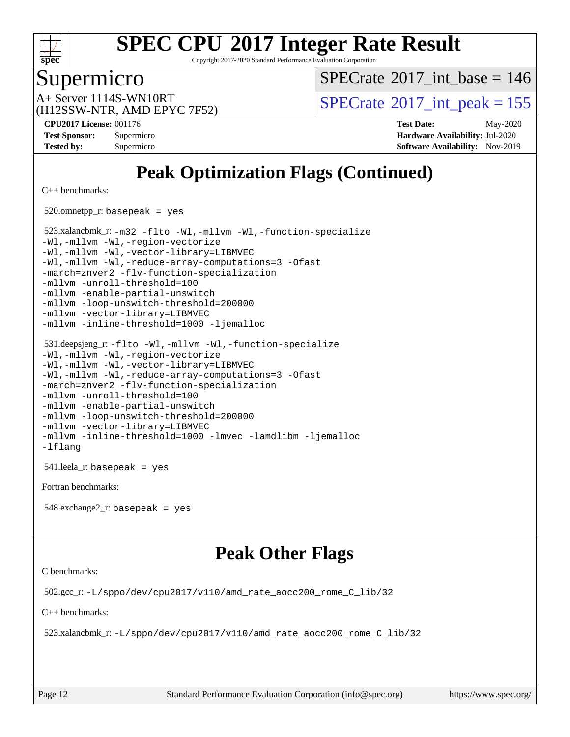

Copyright 2017-2020 Standard Performance Evaluation Corporation

#### Supermicro

 $SPECTate$ <sup>®</sup>[2017\\_int\\_base =](http://www.spec.org/auto/cpu2017/Docs/result-fields.html#SPECrate2017intbase) 146

(H12SSW-NTR, AMD EPYC 7F52)

A+ Server 1114S-WN10RT<br>  $\alpha$ H12SSW NTP AMD FPVC 7E52)

**[CPU2017 License:](http://www.spec.org/auto/cpu2017/Docs/result-fields.html#CPU2017License)** 001176 **[Test Date:](http://www.spec.org/auto/cpu2017/Docs/result-fields.html#TestDate)** May-2020 **[Test Sponsor:](http://www.spec.org/auto/cpu2017/Docs/result-fields.html#TestSponsor)** Supermicro **[Hardware Availability:](http://www.spec.org/auto/cpu2017/Docs/result-fields.html#HardwareAvailability)** Jul-2020 **[Tested by:](http://www.spec.org/auto/cpu2017/Docs/result-fields.html#Testedby)** Supermicro **[Software Availability:](http://www.spec.org/auto/cpu2017/Docs/result-fields.html#SoftwareAvailability)** Nov-2019

## **[Peak Optimization Flags \(Continued\)](http://www.spec.org/auto/cpu2017/Docs/result-fields.html#PeakOptimizationFlags)**

[C++ benchmarks:](http://www.spec.org/auto/cpu2017/Docs/result-fields.html#CXXbenchmarks)

520.omnetpp\_r: basepeak = yes

 523.xalancbmk\_r: [-m32](http://www.spec.org/cpu2017/results/res2020q3/cpu2017-20200707-23427.flags.html#user_peakCXXLD523_xalancbmk_r_F-m32) [-flto](http://www.spec.org/cpu2017/results/res2020q3/cpu2017-20200707-23427.flags.html#user_peakCXXOPTIMIZELDFLAGS523_xalancbmk_r_aocc-flto) [-Wl,-mllvm -Wl,-function-specialize](http://www.spec.org/cpu2017/results/res2020q3/cpu2017-20200707-23427.flags.html#user_peakLDFLAGS523_xalancbmk_r_F-function-specialize_7e7e661e57922243ee67c9a1251cb8910e607325179a0ce7f2884e09a6f5d4a5ef0ae4f37e8a2a11c95fc48e931f06dc2b6016f14b511fcb441e048bef1b065a) [-Wl,-mllvm -Wl,-region-vectorize](http://www.spec.org/cpu2017/results/res2020q3/cpu2017-20200707-23427.flags.html#user_peakLDFLAGS523_xalancbmk_r_F-region-vectorize_fb6c6b5aa293c88efc6c7c2b52b20755e943585b1fe8658c35afef78727fff56e1a56891413c30e36b8e2a6f9a71126986319243e80eb6110b78b288f533c52b) [-Wl,-mllvm -Wl,-vector-library=LIBMVEC](http://www.spec.org/cpu2017/results/res2020q3/cpu2017-20200707-23427.flags.html#user_peakLDFLAGS523_xalancbmk_r_F-use-vector-library_0a14b27fae317f283640384a31f7bfcc2bd4c1d0b5cfc618a3a430800c9b20217b00f61303eff223a3251b4f06ffbc9739dc5296db9d1fbb9ad24a3939d86d66) [-Wl,-mllvm -Wl,-reduce-array-computations=3](http://www.spec.org/cpu2017/results/res2020q3/cpu2017-20200707-23427.flags.html#user_peakLDFLAGS523_xalancbmk_r_F-reduce-array-computations_b882aefe7a5dda4e33149f6299762b9a720dace3e498e13756f4c04e5a19edf5315c1f3993de2e61ec41e8c206231f84e05da7040e1bb5d69ba27d10a12507e4) [-Ofast](http://www.spec.org/cpu2017/results/res2020q3/cpu2017-20200707-23427.flags.html#user_peakCXXOPTIMIZE523_xalancbmk_r_aocc-Ofast) [-march=znver2](http://www.spec.org/cpu2017/results/res2020q3/cpu2017-20200707-23427.flags.html#user_peakCXXOPTIMIZE523_xalancbmk_r_aocc-march_3e2e19cff2eeef60c5d90b059483627c9ea47eca6d66670dbd53f9185f6439e27eb5e104cf773e9e8ab18c8842ce63e461a3e948d0214bd567ef3ade411bf467) [-flv-function-specialization](http://www.spec.org/cpu2017/results/res2020q3/cpu2017-20200707-23427.flags.html#user_peakCXXOPTIMIZE523_xalancbmk_r_F-flv-function-specialization) [-mllvm -unroll-threshold=100](http://www.spec.org/cpu2017/results/res2020q3/cpu2017-20200707-23427.flags.html#user_peakCXXOPTIMIZE523_xalancbmk_r_F-unroll-threshold_2755d0c78138845d361fa1543e3a063fffa198df9b3edf0cfb856bbc88a81e1769b12ac7a550c5d35197be55360db1a3f95a8d1304df999456cabf5120c45168) [-mllvm -enable-partial-unswitch](http://www.spec.org/cpu2017/results/res2020q3/cpu2017-20200707-23427.flags.html#user_peakCXXOPTIMIZE523_xalancbmk_r_F-enable-partial-unswitch_6e1c33f981d77963b1eaf834973128a7f33ce3f8e27f54689656697a35e89dcc875281e0e6283d043e32f367dcb605ba0e307a92e830f7e326789fa6c61b35d3) [-mllvm -loop-unswitch-threshold=200000](http://www.spec.org/cpu2017/results/res2020q3/cpu2017-20200707-23427.flags.html#user_peakCXXOPTIMIZE523_xalancbmk_r_F-loop-unswitch-threshold_f9a82ae3270e55b5fbf79d0d96ee93606b73edbbe527d20b18b7bff1a3a146ad50cfc7454c5297978340ae9213029016a7d16221274d672d3f7f42ed25274e1d) [-mllvm -vector-library=LIBMVEC](http://www.spec.org/cpu2017/results/res2020q3/cpu2017-20200707-23427.flags.html#user_peakCXXOPTIMIZE523_xalancbmk_r_F-use-vector-library_e584e20b4f7ec96aa109254b65d8e01d864f3d68580371b9d93ed7c338191d4cfce20c3c864632264effc6bbe4c7c38153d02096a342ee92501c4a53204a7871) [-mllvm -inline-threshold=1000](http://www.spec.org/cpu2017/results/res2020q3/cpu2017-20200707-23427.flags.html#user_peakCXXOPTIMIZE523_xalancbmk_r_dragonegg-llvm-inline-threshold_b7832241b0a6397e4ecdbaf0eb7defdc10f885c2a282fa3240fdc99844d543fda39cf8a4a9dccf68cf19b5438ac3b455264f478df15da0f4988afa40d8243bab) [-ljemalloc](http://www.spec.org/cpu2017/results/res2020q3/cpu2017-20200707-23427.flags.html#user_peakEXTRA_LIBS523_xalancbmk_r_jemalloc-lib)

```
 531.deepsjeng_r: -flto -Wl,-mllvm -Wl,-function-specialize
-Wl,-mllvm -Wl,-region-vectorize
-Wl,-mllvm -Wl,-vector-library=LIBMVEC
-Wl,-mllvm -Wl,-reduce-array-computations=3 -Ofast
-march=znver2 -flv-function-specialization
-mllvm -unroll-threshold=100
-mllvm -enable-partial-unswitch
-mllvm -loop-unswitch-threshold=200000
-mllvm -vector-library=LIBMVEC
-mllvm -inline-threshold=1000 -lmvec -lamdlibm -ljemalloc
-lflang
```
541.leela\_r: basepeak = yes

[Fortran benchmarks](http://www.spec.org/auto/cpu2017/Docs/result-fields.html#Fortranbenchmarks):

548.exchange2\_r: basepeak = yes

#### **[Peak Other Flags](http://www.spec.org/auto/cpu2017/Docs/result-fields.html#PeakOtherFlags)**

[C benchmarks](http://www.spec.org/auto/cpu2017/Docs/result-fields.html#Cbenchmarks):

502.gcc\_r: [-L/sppo/dev/cpu2017/v110/amd\\_rate\\_aocc200\\_rome\\_C\\_lib/32](http://www.spec.org/cpu2017/results/res2020q3/cpu2017-20200707-23427.flags.html#user_peakEXTRA_LIBS502_gcc_r_Link_path_a9570a09ab7984dec96953723679ba46d1cc889e68ea807206190854d2467589825e735b1949203d0133560968f4d6db4c58ee4bd595cb0557b3761d194796c7)

[C++ benchmarks:](http://www.spec.org/auto/cpu2017/Docs/result-fields.html#CXXbenchmarks)

523.xalancbmk\_r: [-L/sppo/dev/cpu2017/v110/amd\\_rate\\_aocc200\\_rome\\_C\\_lib/32](http://www.spec.org/cpu2017/results/res2020q3/cpu2017-20200707-23427.flags.html#user_peakEXTRA_LIBS523_xalancbmk_r_Link_path_a9570a09ab7984dec96953723679ba46d1cc889e68ea807206190854d2467589825e735b1949203d0133560968f4d6db4c58ee4bd595cb0557b3761d194796c7)